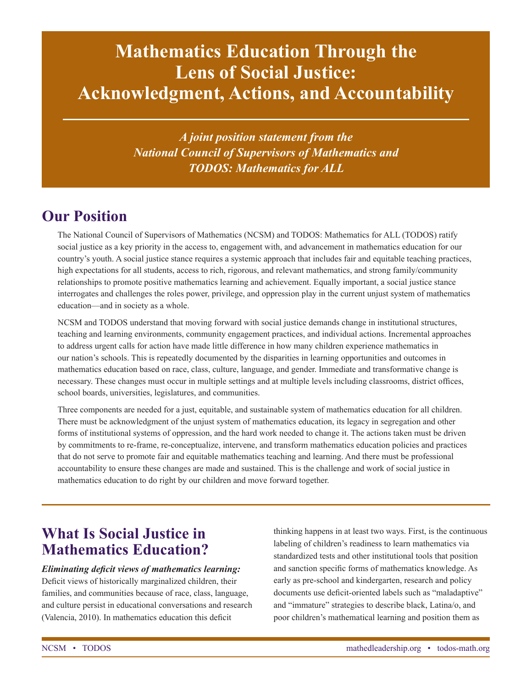# **Mathematics Education Through the Lens of Social Justice: Acknowledgment, Actions, and Accountability**

*A joint position statement from the National Council of Supervisors of Mathematics and TODOS: Mathematics for ALL*

## **Our Position**

The National Council of Supervisors of Mathematics (NCSM) and TODOS: Mathematics for ALL (TODOS) ratify social justice as a key priority in the access to, engagement with, and advancement in mathematics education for our country's youth. A social justice stance requires a systemic approach that includes fair and equitable teaching practices, high expectations for all students, access to rich, rigorous, and relevant mathematics, and strong family/community relationships to promote positive mathematics learning and achievement. Equally important, a social justice stance interrogates and challenges the roles power, privilege, and oppression play in the current unjust system of mathematics education—and in society as a whole.

NCSM and TODOS understand that moving forward with social justice demands change in institutional structures, teaching and learning environments, community engagement practices, and individual actions. Incremental approaches to address urgent calls for action have made little difference in how many children experience mathematics in our nation's schools. This is repeatedly documented by the disparities in learning opportunities and outcomes in mathematics education based on race, class, culture, language, and gender. Immediate and transformative change is necessary. These changes must occur in multiple settings and at multiple levels including classrooms, district offices, school boards, universities, legislatures, and communities.

Three components are needed for a just, equitable, and sustainable system of mathematics education for all children. There must be acknowledgment of the unjust system of mathematics education, its legacy in segregation and other forms of institutional systems of oppression, and the hard work needed to change it. The actions taken must be driven by commitments to re-frame, re-conceptualize, intervene, and transform mathematics education policies and practices that do not serve to promote fair and equitable mathematics teaching and learning. And there must be professional accountability to ensure these changes are made and sustained. This is the challenge and work of social justice in mathematics education to do right by our children and move forward together.

### **What Is Social Justice in Mathematics Education?**

#### *Eliminating deficit views of mathematics learning:*

Deficit views of historically marginalized children, their families, and communities because of race, class, language, and culture persist in educational conversations and research (Valencia, 2010). In mathematics education this deficit

thinking happens in at least two ways. First, is the continuous labeling of children's readiness to learn mathematics via standardized tests and other institutional tools that position and sanction specific forms of mathematics knowledge. As early as pre-school and kindergarten, research and policy documents use deficit-oriented labels such as "maladaptive" and "immature" strategies to describe black, Latina/o, and poor children's mathematical learning and position them as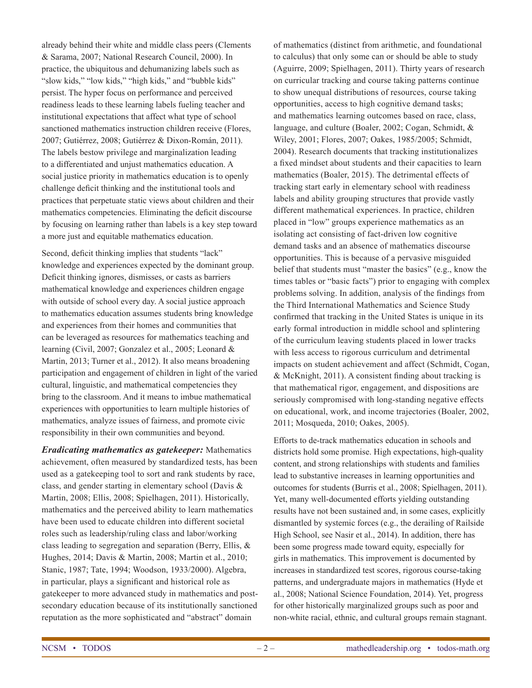already behind their white and middle class peers (Clements & Sarama, 2007; National Research Council, 2000). In practice, the ubiquitous and dehumanizing labels such as "slow kids," "low kids," "high kids," and "bubble kids" persist. The hyper focus on performance and perceived readiness leads to these learning labels fueling teacher and institutional expectations that affect what type of school sanctioned mathematics instruction children receive (Flores, 2007; Gutiérrez, 2008; Gutiérrez & Dixon-Román, 2011). The labels bestow privilege and marginalization leading to a differentiated and unjust mathematics education. A social justice priority in mathematics education is to openly challenge deficit thinking and the institutional tools and practices that perpetuate static views about children and their mathematics competencies. Eliminating the deficit discourse by focusing on learning rather than labels is a key step toward a more just and equitable mathematics education.

Second, deficit thinking implies that students "lack" knowledge and experiences expected by the dominant group. Deficit thinking ignores, dismisses, or casts as barriers mathematical knowledge and experiences children engage with outside of school every day. A social justice approach to mathematics education assumes students bring knowledge and experiences from their homes and communities that can be leveraged as resources for mathematics teaching and learning (Civil, 2007; Gonzalez et al., 2005; Leonard & Martin, 2013; Turner et al., 2012). It also means broadening participation and engagement of children in light of the varied cultural, linguistic, and mathematical competencies they bring to the classroom. And it means to imbue mathematical experiences with opportunities to learn multiple histories of mathematics, analyze issues of fairness, and promote civic responsibility in their own communities and beyond.

*Eradicating mathematics as gatekeeper:* Mathematics achievement, often measured by standardized tests, has been used as a gatekeeping tool to sort and rank students by race, class, and gender starting in elementary school (Davis & Martin, 2008; Ellis, 2008; Spielhagen, 2011). Historically, mathematics and the perceived ability to learn mathematics have been used to educate children into different societal roles such as leadership/ruling class and labor/working class leading to segregation and separation (Berry, Ellis, & Hughes, 2014; Davis & Martin, 2008; Martin et al., 2010; Stanic, 1987; Tate, 1994; Woodson, 1933/2000). Algebra, in particular, plays a significant and historical role as gatekeeper to more advanced study in mathematics and postsecondary education because of its institutionally sanctioned reputation as the more sophisticated and "abstract" domain

of mathematics (distinct from arithmetic, and foundational to calculus) that only some can or should be able to study (Aguirre, 2009; Spielhagen, 2011). Thirty years of research on curricular tracking and course taking patterns continue to show unequal distributions of resources, course taking opportunities, access to high cognitive demand tasks; and mathematics learning outcomes based on race, class, language, and culture (Boaler, 2002; Cogan, Schmidt, & Wiley, 2001; Flores, 2007; Oakes, 1985/2005; Schmidt, 2004). Research documents that tracking institutionalizes a fixed mindset about students and their capacities to learn mathematics (Boaler, 2015). The detrimental effects of tracking start early in elementary school with readiness labels and ability grouping structures that provide vastly different mathematical experiences. In practice, children placed in "low" groups experience mathematics as an isolating act consisting of fact-driven low cognitive demand tasks and an absence of mathematics discourse opportunities. This is because of a pervasive misguided belief that students must "master the basics" (e.g., know the times tables or "basic facts") prior to engaging with complex problems solving. In addition, analysis of the findings from the Third International Mathematics and Science Study confirmed that tracking in the United States is unique in its early formal introduction in middle school and splintering of the curriculum leaving students placed in lower tracks with less access to rigorous curriculum and detrimental impacts on student achievement and affect (Schmidt, Cogan, & McKnight, 2011). A consistent finding about tracking is that mathematical rigor, engagement, and dispositions are seriously compromised with long-standing negative effects on educational, work, and income trajectories (Boaler, 2002, 2011; Mosqueda, 2010; Oakes, 2005).

Efforts to de-track mathematics education in schools and districts hold some promise. High expectations, high-quality content, and strong relationships with students and families lead to substantive increases in learning opportunities and outcomes for students (Burris et al., 2008; Spielhagen, 2011). Yet, many well-documented efforts yielding outstanding results have not been sustained and, in some cases, explicitly dismantled by systemic forces (e.g., the derailing of Railside High School, see Nasir et al., 2014). In addition, there has been some progress made toward equity, especially for girls in mathematics. This improvement is documented by increases in standardized test scores, rigorous course-taking patterns, and undergraduate majors in mathematics (Hyde et al., 2008; National Science Foundation, 2014). Yet, progress for other historically marginalized groups such as poor and non-white racial, ethnic, and cultural groups remain stagnant.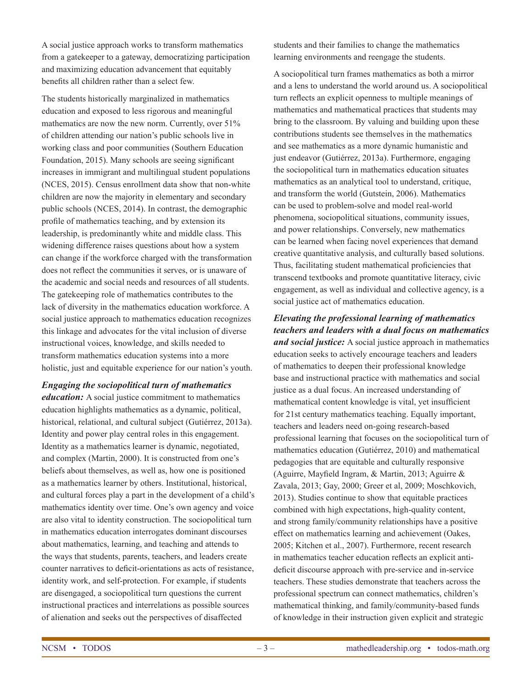A social justice approach works to transform mathematics from a gatekeeper to a gateway, democratizing participation and maximizing education advancement that equitably benefits all children rather than a select few.

The students historically marginalized in mathematics education and exposed to less rigorous and meaningful mathematics are now the new norm. Currently, over 51% of children attending our nation's public schools live in working class and poor communities (Southern Education Foundation, 2015). Many schools are seeing significant increases in immigrant and multilingual student populations (NCES, 2015). Census enrollment data show that non-white children are now the majority in elementary and secondary public schools (NCES, 2014). In contrast, the demographic profile of mathematics teaching, and by extension its leadership, is predominantly white and middle class. This widening difference raises questions about how a system can change if the workforce charged with the transformation does not reflect the communities it serves, or is unaware of the academic and social needs and resources of all students. The gatekeeping role of mathematics contributes to the lack of diversity in the mathematics education workforce. A social justice approach to mathematics education recognizes this linkage and advocates for the vital inclusion of diverse instructional voices, knowledge, and skills needed to transform mathematics education systems into a more holistic, just and equitable experience for our nation's youth.

*Engaging the sociopolitical turn of mathematics education:* A social justice commitment to mathematics education highlights mathematics as a dynamic, political, historical, relational, and cultural subject (Gutiérrez, 2013a). Identity and power play central roles in this engagement. Identity as a mathematics learner is dynamic, negotiated, and complex (Martin, 2000). It is constructed from one's beliefs about themselves, as well as, how one is positioned as a mathematics learner by others. Institutional, historical, and cultural forces play a part in the development of a child's mathematics identity over time. One's own agency and voice are also vital to identity construction. The sociopolitical turn in mathematics education interrogates dominant discourses about mathematics, learning, and teaching and attends to the ways that students, parents, teachers, and leaders create counter narratives to deficit-orientations as acts of resistance, identity work, and self-protection. For example, if students are disengaged, a sociopolitical turn questions the current instructional practices and interrelations as possible sources of alienation and seeks out the perspectives of disaffected

students and their families to change the mathematics learning environments and reengage the students.

A sociopolitical turn frames mathematics as both a mirror and a lens to understand the world around us. A sociopolitical turn reflects an explicit openness to multiple meanings of mathematics and mathematical practices that students may bring to the classroom. By valuing and building upon these contributions students see themselves in the mathematics and see mathematics as a more dynamic humanistic and just endeavor (Gutiérrez, 2013a). Furthermore, engaging the sociopolitical turn in mathematics education situates mathematics as an analytical tool to understand, critique, and transform the world (Gutstein, 2006). Mathematics can be used to problem-solve and model real-world phenomena, sociopolitical situations, community issues, and power relationships. Conversely, new mathematics can be learned when facing novel experiences that demand creative quantitative analysis, and culturally based solutions. Thus, facilitating student mathematical proficiencies that transcend textbooks and promote quantitative literacy, civic engagement, as well as individual and collective agency, is a social justice act of mathematics education.

### *Elevating the professional learning of mathematics teachers and leaders with a dual focus on mathematics and social justice:* A social justice approach in mathematics

education seeks to actively encourage teachers and leaders of mathematics to deepen their professional knowledge base and instructional practice with mathematics and social justice as a dual focus. An increased understanding of mathematical content knowledge is vital, yet insufficient for 21st century mathematics teaching. Equally important, teachers and leaders need on-going research-based professional learning that focuses on the sociopolitical turn of mathematics education (Gutiérrez, 2010) and mathematical pedagogies that are equitable and culturally responsive (Aguirre, Mayfield Ingram, & Martin, 2013; Aguirre & Zavala, 2013; Gay, 2000; Greer et al, 2009; Moschkovich, 2013). Studies continue to show that equitable practices combined with high expectations, high-quality content, and strong family/community relationships have a positive effect on mathematics learning and achievement (Oakes, 2005; Kitchen et al., 2007). Furthermore, recent research in mathematics teacher education reflects an explicit antideficit discourse approach with pre-service and in-service teachers. These studies demonstrate that teachers across the professional spectrum can connect mathematics, children's mathematical thinking, and family/community-based funds of knowledge in their instruction given explicit and strategic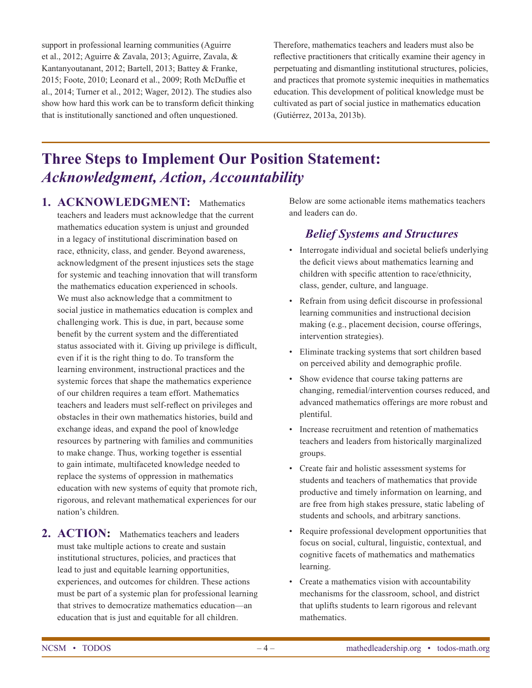support in professional learning communities (Aguirre et al., 2012; Aguirre & Zavala, 2013; Aguirre, Zavala, & Kantanyoutanant, 2012; Bartell, 2013; Battey & Franke, 2015; Foote, 2010; Leonard et al., 2009; Roth McDuffie et al., 2014; Turner et al., 2012; Wager, 2012). The studies also show how hard this work can be to transform deficit thinking that is institutionally sanctioned and often unquestioned.

Therefore, mathematics teachers and leaders must also be reflective practitioners that critically examine their agency in perpetuating and dismantling institutional structures, policies, and practices that promote systemic inequities in mathematics education. This development of political knowledge must be cultivated as part of social justice in mathematics education (Gutiérrez, 2013a, 2013b).

## **Three Steps to Implement Our Position Statement:**  *Acknowledgment, Action, Accountability*

- **1. ACKNOWLEDGMENT:** Mathematics teachers and leaders must acknowledge that the current mathematics education system is unjust and grounded in a legacy of institutional discrimination based on race, ethnicity, class, and gender. Beyond awareness, acknowledgment of the present injustices sets the stage for systemic and teaching innovation that will transform the mathematics education experienced in schools. We must also acknowledge that a commitment to social justice in mathematics education is complex and challenging work. This is due, in part, because some benefit by the current system and the differentiated status associated with it. Giving up privilege is difficult, even if it is the right thing to do. To transform the learning environment, instructional practices and the systemic forces that shape the mathematics experience of our children requires a team effort. Mathematics teachers and leaders must self-reflect on privileges and obstacles in their own mathematics histories, build and exchange ideas, and expand the pool of knowledge resources by partnering with families and communities to make change. Thus, working together is essential to gain intimate, multifaceted knowledge needed to replace the systems of oppression in mathematics education with new systems of equity that promote rich, rigorous, and relevant mathematical experiences for our nation's children.
- **2. ACTION:** Mathematics teachers and leaders must take multiple actions to create and sustain institutional structures, policies, and practices that lead to just and equitable learning opportunities, experiences, and outcomes for children. These actions must be part of a systemic plan for professional learning that strives to democratize mathematics education—an education that is just and equitable for all children.

Below are some actionable items mathematics teachers and leaders can do.

#### *Belief Systems and Structures*

- Interrogate individual and societal beliefs underlying the deficit views about mathematics learning and children with specific attention to race/ethnicity, class, gender, culture, and language.
- Refrain from using deficit discourse in professional learning communities and instructional decision making (e.g., placement decision, course offerings, intervention strategies).
- Eliminate tracking systems that sort children based on perceived ability and demographic profile.
- Show evidence that course taking patterns are changing, remedial/intervention courses reduced, and advanced mathematics offerings are more robust and plentiful.
- Increase recruitment and retention of mathematics teachers and leaders from historically marginalized groups.
- Create fair and holistic assessment systems for students and teachers of mathematics that provide productive and timely information on learning, and are free from high stakes pressure, static labeling of students and schools, and arbitrary sanctions.
- Require professional development opportunities that focus on social, cultural, linguistic, contextual, and cognitive facets of mathematics and mathematics learning.
- Create a mathematics vision with accountability mechanisms for the classroom, school, and district that uplifts students to learn rigorous and relevant mathematics.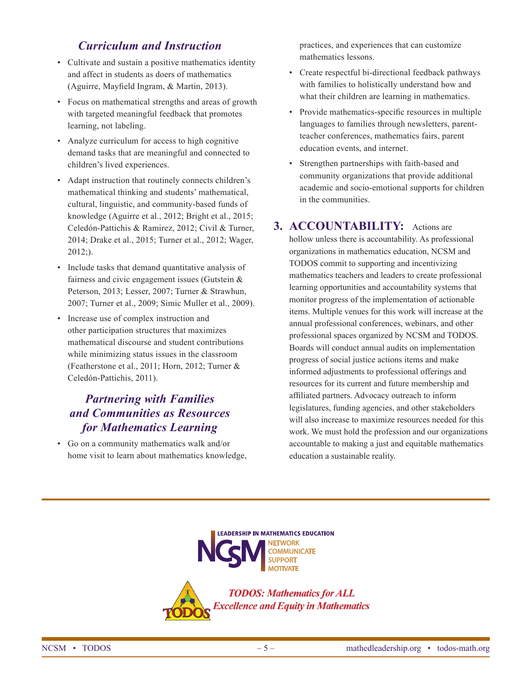#### *Curriculum and Instruction*

- Cultivate and sustain a positive mathematics identity and affect in students as doers of mathematics (Aguirre, Mayfield Ingram, & Martin, 2013).
- Focus on mathematical strengths and areas of growth with targeted meaningful feedback that promotes learning, not labeling.
- Analyze curriculum for access to high cognitive demand tasks that are meaningful and connected to children's lived experiences.
- Adapt instruction that routinely connects children's mathematical thinking and students' mathematical, cultural, linguistic, and community-based funds of knowledge (Aguirre et al., 2012; Bright et al., 2015; Celedón-Pattichis & Ramirez, 2012; Civil & Turner, 2014; Drake et al., 2015; Turner et al., 2012; Wager, 2012;).
- Include tasks that demand quantitative analysis of fairness and civic engagement issues (Gutstein  $\&$ Peterson, 2013; Lesser, 2007; Turner & Strawhun, 2007; Turner et al., 2009; Simic Muller et al., 2009).
- Increase use of complex instruction and other participation structures that maximizes mathematical discourse and student contributions while minimizing status issues in the classroom (Featherstone et al., 2011; Horn, 2012; Turner & Celedón-Pattichis, 2011).

#### *Partnering with Families and Communities as Resources for Mathematics Learning*

• Go on a community mathematics walk and/or home visit to learn about mathematics knowledge, practices, and experiences that can customize mathematics lessons.

- Create respectful bi-directional feedback pathways with families to holistically understand how and what their children are learning in mathematics.
- Provide mathematics-specific resources in multiple languages to families through newsletters, parentteacher conferences, mathematics fairs, parent education events, and internet.
- Strengthen partnerships with faith-based and community organizations that provide additional academic and socio-emotional supports for children in the communities.

#### **3. ACCOUNTABILITY:** Actions are

hollow unless there is accountability. As professional organizations in mathematics education, NCSM and TODOS commit to supporting and incentivizing mathematics teachers and leaders to create professional learning opportunities and accountability systems that monitor progress of the implementation of actionable items. Multiple venues for this work will increase at the annual professional conferences, webinars, and other professional spaces organized by NCSM and TODOS. Boards will conduct annual audits on implementation progress of social justice actions items and make informed adjustments to professional offerings and resources for its current and future membership and affiliated partners. Advocacy outreach to inform legislatures, funding agencies, and other stakeholders will also increase to maximize resources needed for this work. We must hold the profession and our organizations accountable to making a just and equitable mathematics education a sustainable reality.



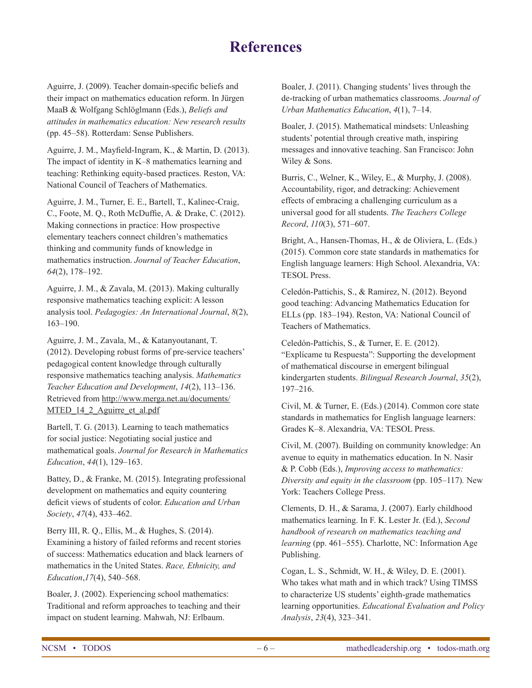### **References**

Aguirre, J. (2009). Teacher domain-specific beliefs and their impact on mathematics education reform. In Jürgen MaaB & Wolfgang Schlöglmann (Eds.), *Beliefs and attitudes in mathematics education: New research results* (pp. 45–58). Rotterdam: Sense Publishers.

Aguirre, J. M., Mayfield-Ingram, K., & Martin, D. (2013). The impact of identity in K–8 mathematics learning and teaching: Rethinking equity-based practices. Reston, VA: National Council of Teachers of Mathematics.

Aguirre, J. M., Turner, E. E., Bartell, T., Kalinec-Craig, C., Foote, M. Q., Roth McDuffie, A. & Drake, C. (2012). Making connections in practice: How prospective elementary teachers connect children's mathematics thinking and community funds of knowledge in mathematics instruction. *Journal of Teacher Education*, *64*(2), 178–192.

Aguirre, J. M., & Zavala, M. (2013). Making culturally responsive mathematics teaching explicit: A lesson analysis tool. *Pedagogies: An International Journal*, *8*(2), 163–190.

Aguirre, J. M., Zavala, M., & Katanyoutanant, T. (2012). Developing robust forms of pre-service teachers' pedagogical content knowledge through culturally responsive mathematics teaching analysis. *Mathematics Teacher Education and Development*, *14*(2), 113–136. Retrieved from http://www.merga.net.au/documents/ MTED 14 2 Aguirre et al.pdf

Bartell, T. G. (2013). Learning to teach mathematics for social justice: Negotiating social justice and mathematical goals. *Journal for Research in Mathematics Education*, *44*(1), 129–163.

Battey, D., & Franke, M. (2015). Integrating professional development on mathematics and equity countering deficit views of students of color. *Education and Urban Society*, *47*(4), 433–462.

Berry III, R. Q., Ellis, M., & Hughes, S. (2014). Examining a history of failed reforms and recent stories of success: Mathematics education and black learners of mathematics in the United States. *Race, Ethnicity, and Education*,*17*(4), 540–568.

Boaler, J. (2002). Experiencing school mathematics: Traditional and reform approaches to teaching and their impact on student learning. Mahwah, NJ: Erlbaum.

Boaler, J. (2011). Changing students' lives through the de-tracking of urban mathematics classrooms. *Journal of Urban Mathematics Education*, *4*(1), 7–14.

Boaler, J. (2015). Mathematical mindsets: Unleashing students' potential through creative math, inspiring messages and innovative teaching. San Francisco: John Wiley & Sons.

Burris, C., Welner, K., Wiley, E., & Murphy, J. (2008). Accountability, rigor, and detracking: Achievement effects of embracing a challenging curriculum as a universal good for all students. *The Teachers College Record*, *110*(3), 571–607.

Bright, A., Hansen-Thomas, H., & de Oliviera, L. (Eds.) (2015). Common core state standards in mathematics for English language learners: High School. Alexandria, VA: TESOL Press.

Celedón-Pattichis, S., & Ramirez, N. (2012). Beyond good teaching: Advancing Mathematics Education for ELLs (pp. 183–194). Reston, VA: National Council of Teachers of Mathematics.

Celedón-Pattichis, S., & Turner, E. E. (2012). "Explícame tu Respuesta": Supporting the development of mathematical discourse in emergent bilingual kindergarten students. *Bilingual Research Journal*, *35*(2), 197–216.

Civil, M. & Turner, E. (Eds.) (2014). Common core state standards in mathematics for English language learners: Grades K–8. Alexandria, VA: TESOL Press.

Civil, M. (2007). Building on community knowledge: An avenue to equity in mathematics education. In N. Nasir & P. Cobb (Eds.), *Improving access to mathematics: Diversity and equity in the classroom* (pp. 105–117)*.* New York: Teachers College Press.

Clements, D. H., & Sarama, J. (2007). Early childhood mathematics learning. In F. K. Lester Jr. (Ed.), *Second handbook of research on mathematics teaching and learning* (pp. 461–555). Charlotte, NC: Information Age Publishing.

Cogan, L. S., Schmidt, W. H., & Wiley, D. E. (2001). Who takes what math and in which track? Using TIMSS to characterize US students' eighth-grade mathematics learning opportunities. *Educational Evaluation and Policy Analysis*, *23*(4), 323–341.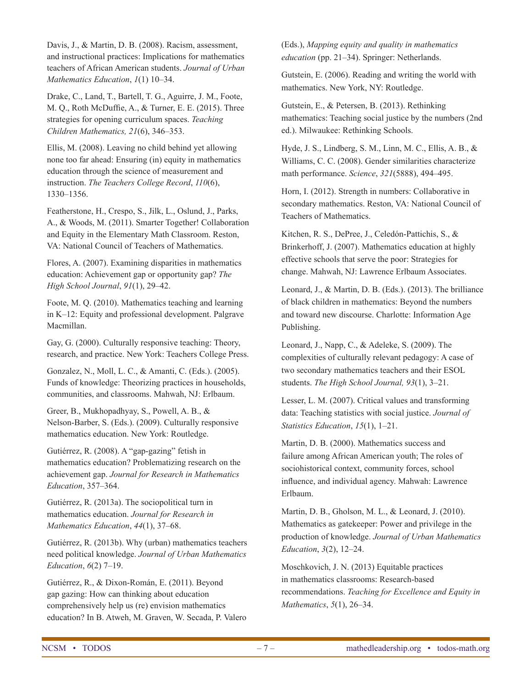Davis, J., & Martin, D. B. (2008). Racism, assessment, and instructional practices: Implications for mathematics teachers of African American students. *Journal of Urban Mathematics Education*, *1*(1) 10–34.

Drake, C., Land, T., Bartell, T. G., Aguirre, J. M., Foote, M. Q., Roth McDuffie, A., & Turner, E. E. (2015). Three strategies for opening curriculum spaces. *Teaching Children Mathematics, 21*(6), 346–353.

Ellis, M. (2008). Leaving no child behind yet allowing none too far ahead: Ensuring (in) equity in mathematics education through the science of measurement and instruction. *The Teachers College Record*, *110*(6), 1330–1356.

Featherstone, H., Crespo, S., Jilk, L., Oslund, J., Parks, A., & Woods, M. (2011). Smarter Together! Collaboration and Equity in the Elementary Math Classroom. Reston, VA: National Council of Teachers of Mathematics.

Flores, A. (2007). Examining disparities in mathematics education: Achievement gap or opportunity gap? *The High School Journal*, *91*(1), 29–42.

Foote, M. Q. (2010). Mathematics teaching and learning in K–12: Equity and professional development. Palgrave Macmillan.

Gay, G. (2000). Culturally responsive teaching: Theory, research, and practice. New York: Teachers College Press.

Gonzalez, N., Moll, L. C., & Amanti, C. (Eds.). (2005). Funds of knowledge: Theorizing practices in households, communities, and classrooms. Mahwah, NJ: Erlbaum.

Greer, B., Mukhopadhyay, S., Powell, A. B., & Nelson-Barber, S. (Eds.). (2009). Culturally responsive mathematics education. New York: Routledge.

Gutiérrez, R. (2008). A "gap-gazing" fetish in mathematics education? Problematizing research on the achievement gap. *Journal for Research in Mathematics Education*, 357–364.

Gutiérrez, R. (2013a). The sociopolitical turn in mathematics education. *Journal for Research in Mathematics Education*, *44*(1), 37–68.

Gutiérrez, R. (2013b). Why (urban) mathematics teachers need political knowledge. *Journal of Urban Mathematics Education*, *6*(2) 7–19.

Gutiérrez, R., & Dixon-Román, E. (2011). Beyond gap gazing: How can thinking about education comprehensively help us (re) envision mathematics education? In B. Atweh, M. Graven, W. Secada, P. Valero (Eds.), *Mapping equity and quality in mathematics education* (pp. 21–34). Springer: Netherlands.

Gutstein, E. (2006). Reading and writing the world with mathematics. New York, NY: Routledge.

Gutstein, E., & Petersen, B. (2013). Rethinking mathematics: Teaching social justice by the numbers (2nd ed.). Milwaukee: Rethinking Schools.

Hyde, J. S., Lindberg, S. M., Linn, M. C., Ellis, A. B., & Williams, C. C. (2008). Gender similarities characterize math performance. *Science*, *321*(5888), 494–495.

Horn, I. (2012). Strength in numbers: Collaborative in secondary mathematics. Reston, VA: National Council of Teachers of Mathematics.

Kitchen, R. S., DePree, J., Celedón-Pattichis, S., & Brinkerhoff, J. (2007). Mathematics education at highly effective schools that serve the poor: Strategies for change. Mahwah, NJ: Lawrence Erlbaum Associates.

Leonard, J., & Martin, D. B. (Eds.). (2013). The brilliance of black children in mathematics: Beyond the numbers and toward new discourse. Charlotte: Information Age Publishing.

Leonard, J., Napp, C., & Adeleke, S. (2009). The complexities of culturally relevant pedagogy: A case of two secondary mathematics teachers and their ESOL students. *The High School Journal, 93*(1), 3–21.

Lesser, L. M. (2007). Critical values and transforming data: Teaching statistics with social justice. *Journal of Statistics Education*, *15*(1), 1–21.

Martin, D. B. (2000). Mathematics success and failure among African American youth; The roles of sociohistorical context, community forces, school influence, and individual agency. Mahwah: Lawrence Erlbaum.

Martin, D. B., Gholson, M. L., & Leonard, J. (2010). Mathematics as gatekeeper: Power and privilege in the production of knowledge. *Journal of Urban Mathematics Education*, *3*(2), 12–24.

Moschkovich, J. N. (2013) Equitable practices in mathematics classrooms: Research-based recommendations. *Teaching for Excellence and Equity in Mathematics*, *5*(1), 26–34.